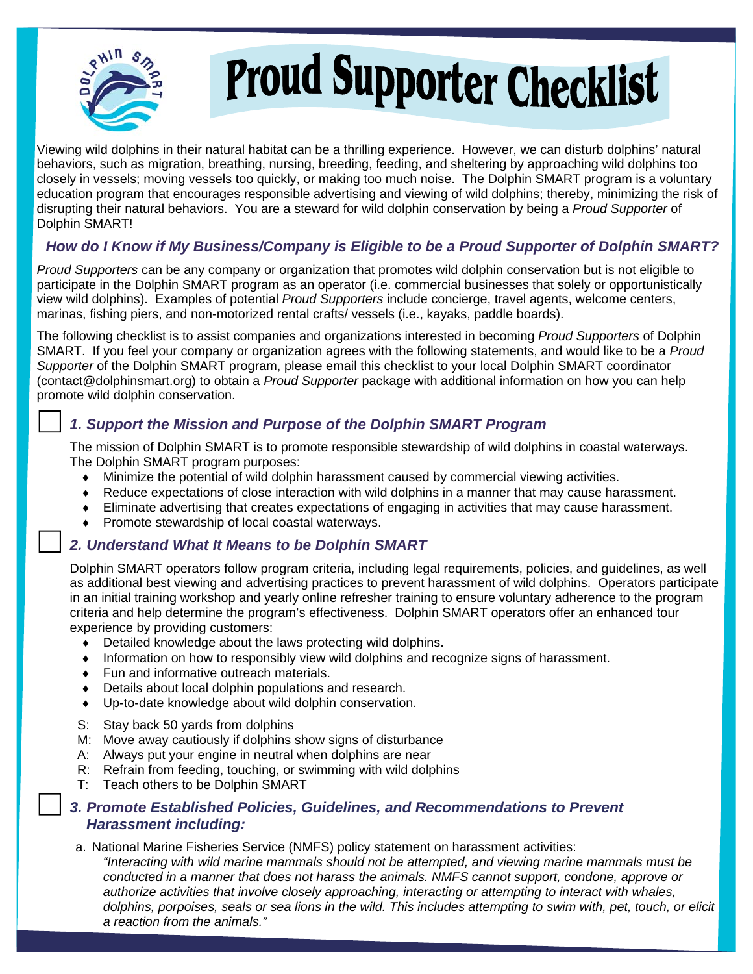

# Proud Supporter Checklist

Viewing wild dolphins in their natural habitat can be a thrilling experience. However, we can disturb dolphins' natural behaviors, such as migration, breathing, nursing, breeding, feeding, and sheltering by approaching wild dolphins too closely in vessels; moving vessels too quickly, or making too much noise. The Dolphin SMART program is a voluntary education program that encourages responsible advertising and viewing of wild dolphins; thereby, minimizing the risk of disrupting their natural behaviors. You are a steward for wild dolphin conservation by being a *Proud Supporter* of Dolphin SMART!

## *How do I Know if My Business/Company is Eligible to be a Proud Supporter of Dolphin SMART?*

*Proud Supporters* can be any company or organization that promotes wild dolphin conservation but is not eligible to participate in the Dolphin SMART program as an operator (i.e. commercial businesses that solely or opportunistically view wild dolphins). Examples of potential *Proud Supporters* include concierge, travel agents, welcome centers, marinas, fishing piers, and non-motorized rental crafts/ vessels (i.e., kayaks, paddle boards).

The following checklist is to assist companies and organizations interested in becoming *Proud Supporters* of Dolphin SMART. If you feel your company or organization agrees with the following statements, and would like to be a *Proud Supporter* of the Dolphin SMART program, please email this checklist to your local Dolphin SMART coordinator (contact@dolphinsmart.org) to obtain a *Proud Supporter* package with additional information on how you can help promote wild dolphin conservation.

## *1. Support the Mission and Purpose of the Dolphin SMART Program*

The mission of Dolphin SMART is to promote responsible stewardship of wild dolphins in coastal waterways. The Dolphin SMART program purposes:

- Minimize the potential of wild dolphin harassment caused by commercial viewing activities.
- Reduce expectations of close interaction with wild dolphins in a manner that may cause harassment.
- Eliminate advertising that creates expectations of engaging in activities that may cause harassment.
- Promote stewardship of local coastal waterways.

#### *2. Understand What It Means to be Dolphin SMART*

Dolphin SMART operators follow program criteria, including legal requirements, policies, and guidelines, as well as additional best viewing and advertising practices to prevent harassment of wild dolphins. Operators participate in an initial training workshop and yearly online refresher training to ensure voluntary adherence to the program criteria and help determine the program's effectiveness. Dolphin SMART operators offer an enhanced tour experience by providing customers:

- Detailed knowledge about the laws protecting wild dolphins.
- Information on how to responsibly view wild dolphins and recognize signs of harassment.
- Fun and informative outreach materials.
- Details about local dolphin populations and research.
- Up-to-date knowledge about wild dolphin conservation.
- S: Stay back 50 yards from dolphins
- M: Move away cautiously if dolphins show signs of disturbance
- A: Always put your engine in neutral when dolphins are near
- R: Refrain from feeding, touching, or swimming with wild dolphins
- T: Teach others to be Dolphin SMART

#### **3. Promote Established Policies, Guidelines, and Recommendations to Prevent**  *Harassment including:*

a. National Marine Fisheries Service (NMFS) policy statement on harassment activities: *"Interacting with wild marine mammals should not be attempted, and viewing marine mammals must be conducted in a manner that does not harass the animals. NMFS cannot support, condone, approve or authorize activities that involve closely approaching, interacting or attempting to interact with whales, dolphins, porpoises, seals or sea lions in the wild. This includes attempting to swim with, pet, touch, or elicit a reaction from the animals."*